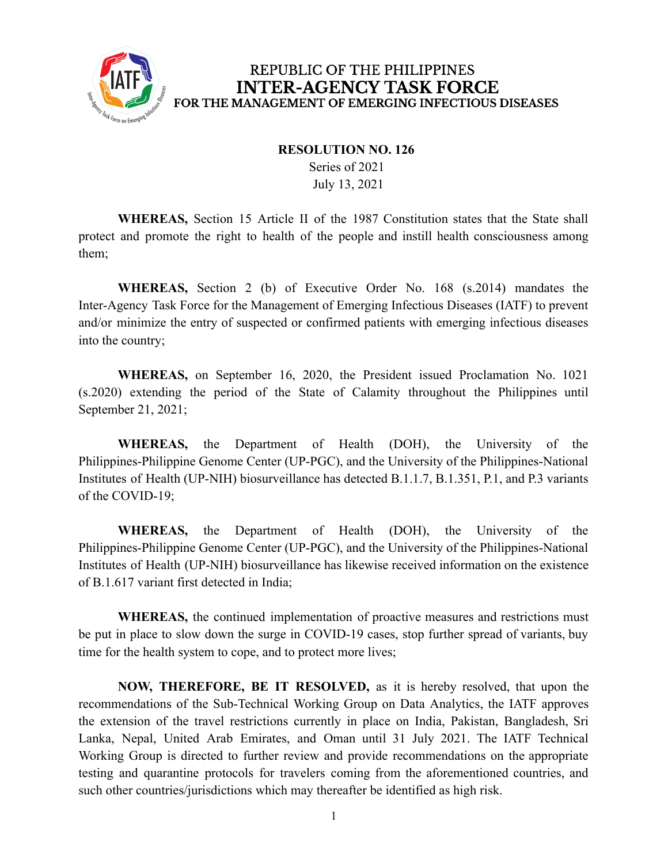

## REPUBLIC OF THE PHILIPPINES **INTER-AGENCY TASK FORCE** FOR THE MANAGEMENT OF EMERGING INFECTIOUS DISEASES

## **RESOLUTION NO. 126**

Series of 2021 July 13, 2021

**WHEREAS,** Section 15 Article II of the 1987 Constitution states that the State shall protect and promote the right to health of the people and instill health consciousness among them;

**WHEREAS,** Section 2 (b) of Executive Order No. 168 (s.2014) mandates the Inter-Agency Task Force for the Management of Emerging Infectious Diseases (IATF) to prevent and/or minimize the entry of suspected or confirmed patients with emerging infectious diseases into the country;

**WHEREAS,** on September 16, 2020, the President issued Proclamation No. 1021 (s.2020) extending the period of the State of Calamity throughout the Philippines until September 21, 2021;

**WHEREAS,** the Department of Health (DOH), the University of the Philippines-Philippine Genome Center (UP-PGC), and the University of the Philippines-National Institutes of Health (UP-NIH) biosurveillance has detected B.1.1.7, B.1.351, P.1, and P.3 variants of the COVID-19;

**WHEREAS,** the Department of Health (DOH), the University of the Philippines-Philippine Genome Center (UP-PGC), and the University of the Philippines-National Institutes of Health (UP-NIH) biosurveillance has likewise received information on the existence of B.1.617 variant first detected in India;

**WHEREAS,** the continued implementation of proactive measures and restrictions must be put in place to slow down the surge in COVID-19 cases, stop further spread of variants, buy time for the health system to cope, and to protect more lives;

**NOW, THEREFORE, BE IT RESOLVED,** as it is hereby resolved, that upon the recommendations of the Sub-Technical Working Group on Data Analytics, the IATF approves the extension of the travel restrictions currently in place on India, Pakistan, Bangladesh, Sri Lanka, Nepal, United Arab Emirates, and Oman until 31 July 2021. The IATF Technical Working Group is directed to further review and provide recommendations on the appropriate testing and quarantine protocols for travelers coming from the aforementioned countries, and such other countries/jurisdictions which may thereafter be identified as high risk.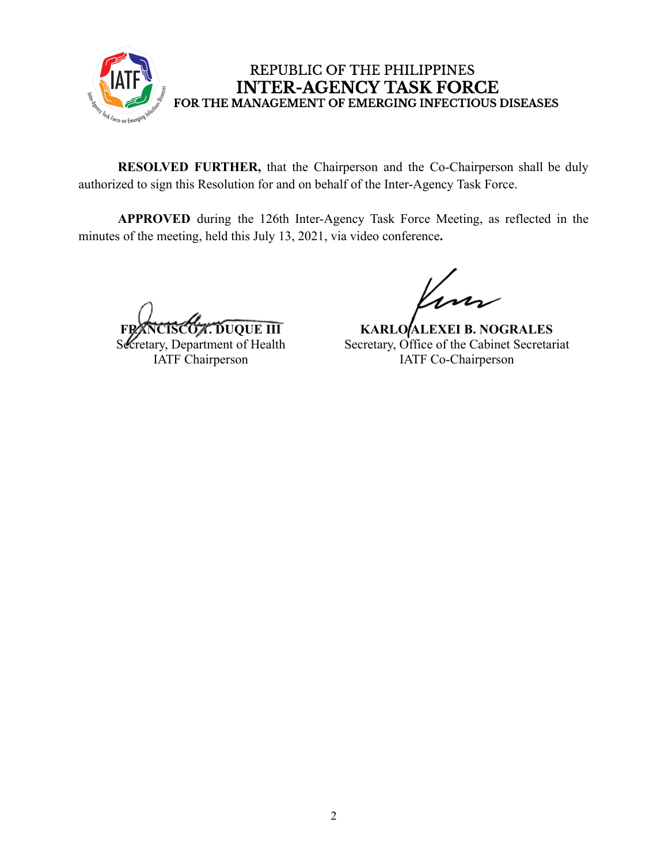

## REPUBLIC OF THE PHILIPPINES **INTER-AGENCY TASK FORCE** FOR THE MANAGEMENT OF EMERGING INFECTIOUS DISEASES

**RESOLVED FURTHER,** that the Chairperson and the Co-Chairperson shall be duly authorized to sign this Resolution for and on behalf of the Inter-Agency Task Force.

**APPROVED** during the 126th Inter-Agency Task Force Meeting, as reflected in the minutes of the meeting, held this July 13, 2021, via video conference**.**

**FRANCISCO T. DUQUE III**

Secretary, Department of Health IATF Chairperson

**KARLO ALEXEI B. NOGRALES** Secretary, Office of the Cabinet Secretariat IATF Co-Chairperson